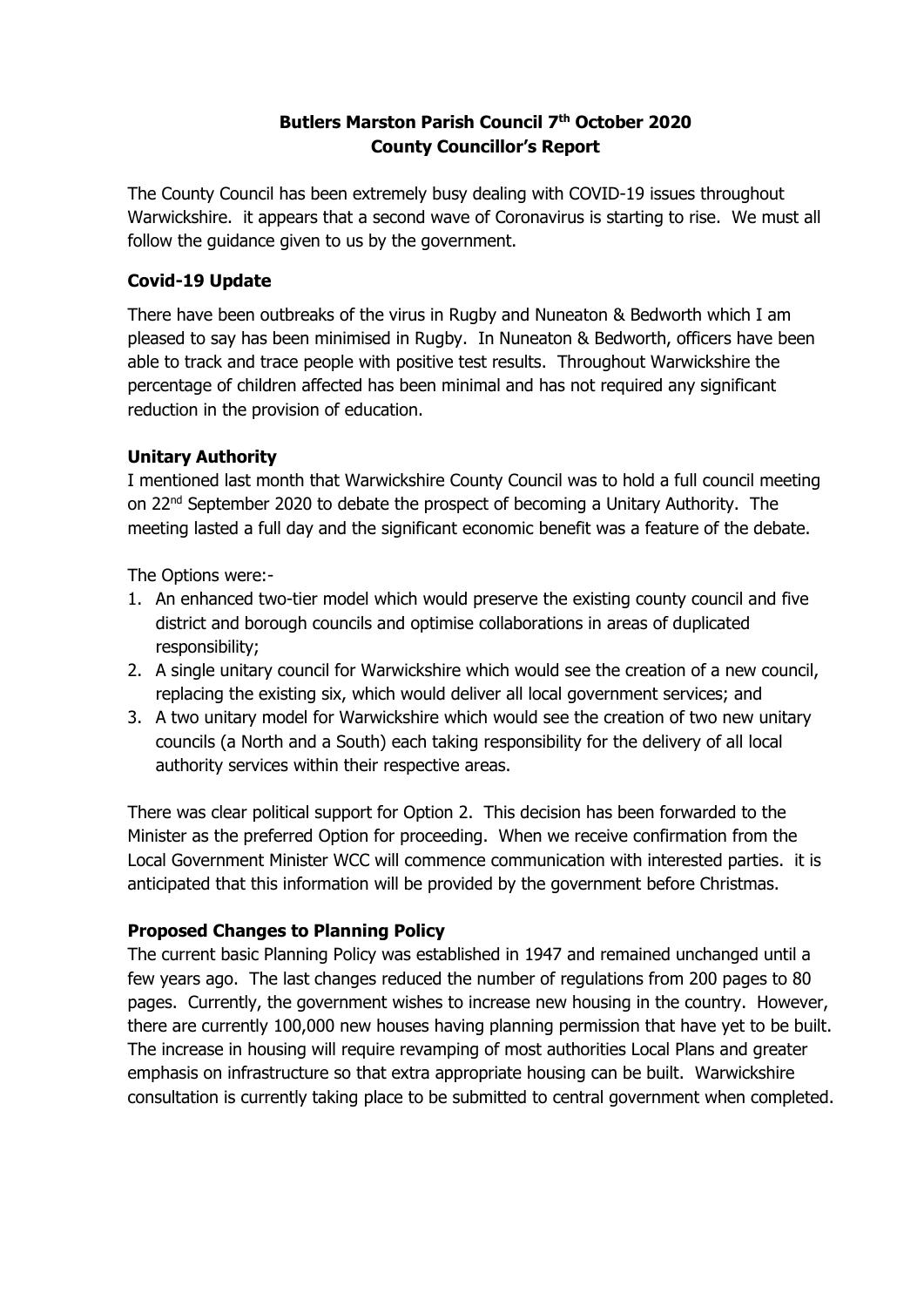#### **Butlers Marston Parish Council 7 th October 2020 County Councillor's Report**

The County Council has been extremely busy dealing with COVID-19 issues throughout Warwickshire. it appears that a second wave of Coronavirus is starting to rise. We must all follow the guidance given to us by the government.

#### **Covid-19 Update**

There have been outbreaks of the virus in Rugby and Nuneaton & Bedworth which I am pleased to say has been minimised in Rugby. In Nuneaton & Bedworth, officers have been able to track and trace people with positive test results. Throughout Warwickshire the percentage of children affected has been minimal and has not required any significant reduction in the provision of education.

#### **Unitary Authority**

I mentioned last month that Warwickshire County Council was to hold a full council meeting on 22<sup>nd</sup> September 2020 to debate the prospect of becoming a Unitary Authority. The meeting lasted a full day and the significant economic benefit was a feature of the debate.

The Options were:-

- 1. An enhanced two-tier model which would preserve the existing county council and five district and borough councils and optimise collaborations in areas of duplicated responsibility;
- 2. A single unitary council for Warwickshire which would see the creation of a new council, replacing the existing six, which would deliver all local government services; and
- 3. A two unitary model for Warwickshire which would see the creation of two new unitary councils (a North and a South) each taking responsibility for the delivery of all local authority services within their respective areas.

There was clear political support for Option 2. This decision has been forwarded to the Minister as the preferred Option for proceeding. When we receive confirmation from the Local Government Minister WCC will commence communication with interested parties. it is anticipated that this information will be provided by the government before Christmas.

#### **Proposed Changes to Planning Policy**

The current basic Planning Policy was established in 1947 and remained unchanged until a few years ago. The last changes reduced the number of regulations from 200 pages to 80 pages. Currently, the government wishes to increase new housing in the country. However, there are currently 100,000 new houses having planning permission that have yet to be built. The increase in housing will require revamping of most authorities Local Plans and greater emphasis on infrastructure so that extra appropriate housing can be built. Warwickshire consultation is currently taking place to be submitted to central government when completed.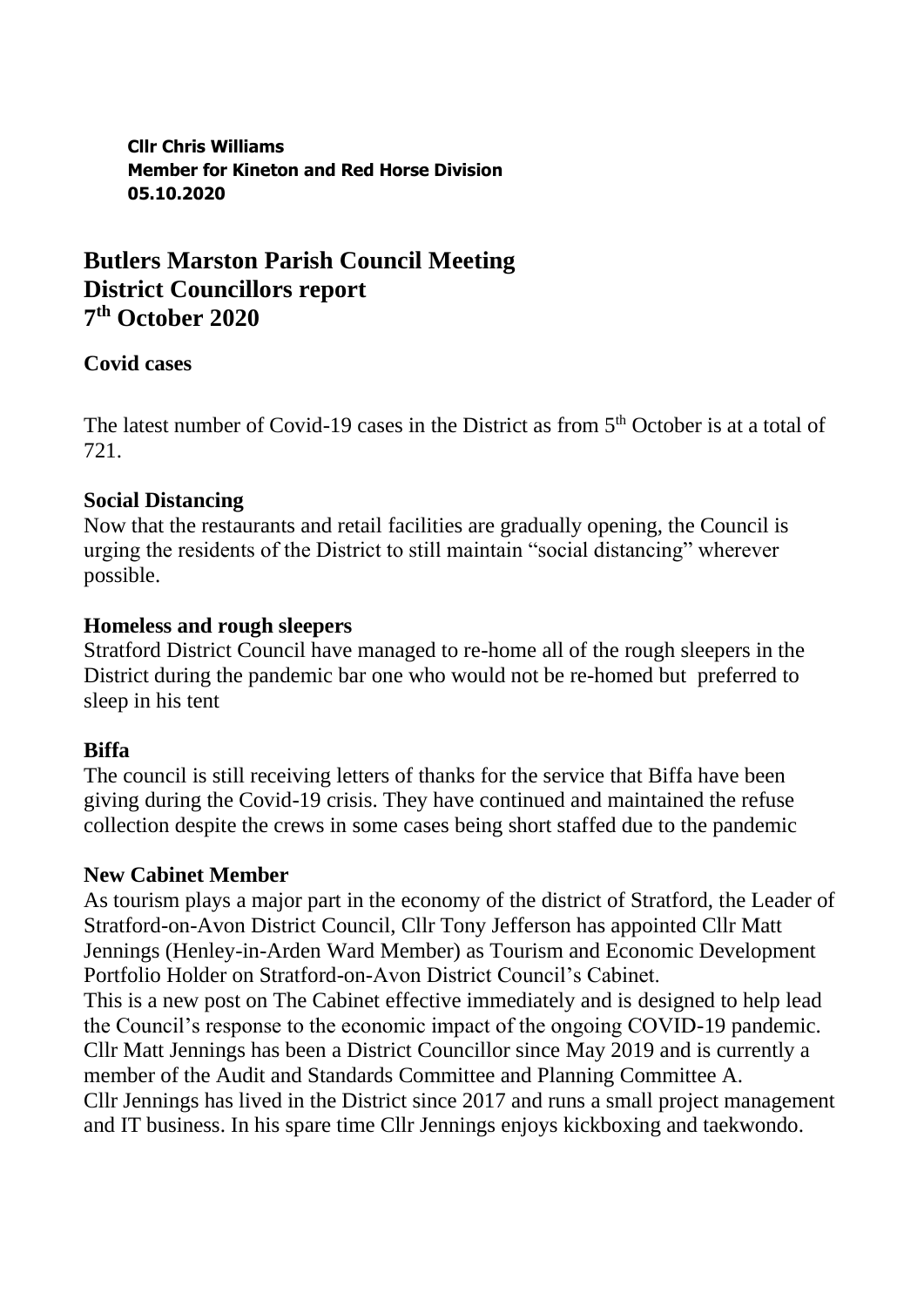**Cllr Chris Williams Member for Kineton and Red Horse Division 05.10.2020**

# **Butlers Marston Parish Council Meeting District Councillors report 7 th October 2020**

## **Covid cases**

The latest number of Covid-19 cases in the District as from  $5<sup>th</sup>$  October is at a total of 721.

## **Social Distancing**

Now that the restaurants and retail facilities are gradually opening, the Council is urging the residents of the District to still maintain "social distancing" wherever possible.

## **Homeless and rough sleepers**

Stratford District Council have managed to re-home all of the rough sleepers in the District during the pandemic bar one who would not be re-homed but preferred to sleep in his tent

## **Biffa**

The council is still receiving letters of thanks for the service that Biffa have been giving during the Covid-19 crisis. They have continued and maintained the refuse collection despite the crews in some cases being short staffed due to the pandemic

## **New Cabinet Member**

As tourism plays a major part in the economy of the district of Stratford, the Leader of Stratford-on-Avon District Council, Cllr Tony Jefferson has appointed Cllr Matt Jennings (Henley-in-Arden Ward Member) as Tourism and Economic Development Portfolio Holder on Stratford-on-Avon District Council's Cabinet. This is a new post on The Cabinet effective immediately and is designed to help lead the Council's response to the economic impact of the ongoing COVID-19 pandemic. Cllr Matt Jennings has been a District Councillor since May 2019 and is currently a member of the Audit and Standards Committee and Planning Committee A. Cllr Jennings has lived in the District since 2017 and runs a small project management and IT business. In his spare time Cllr Jennings enjoys kickboxing and taekwondo.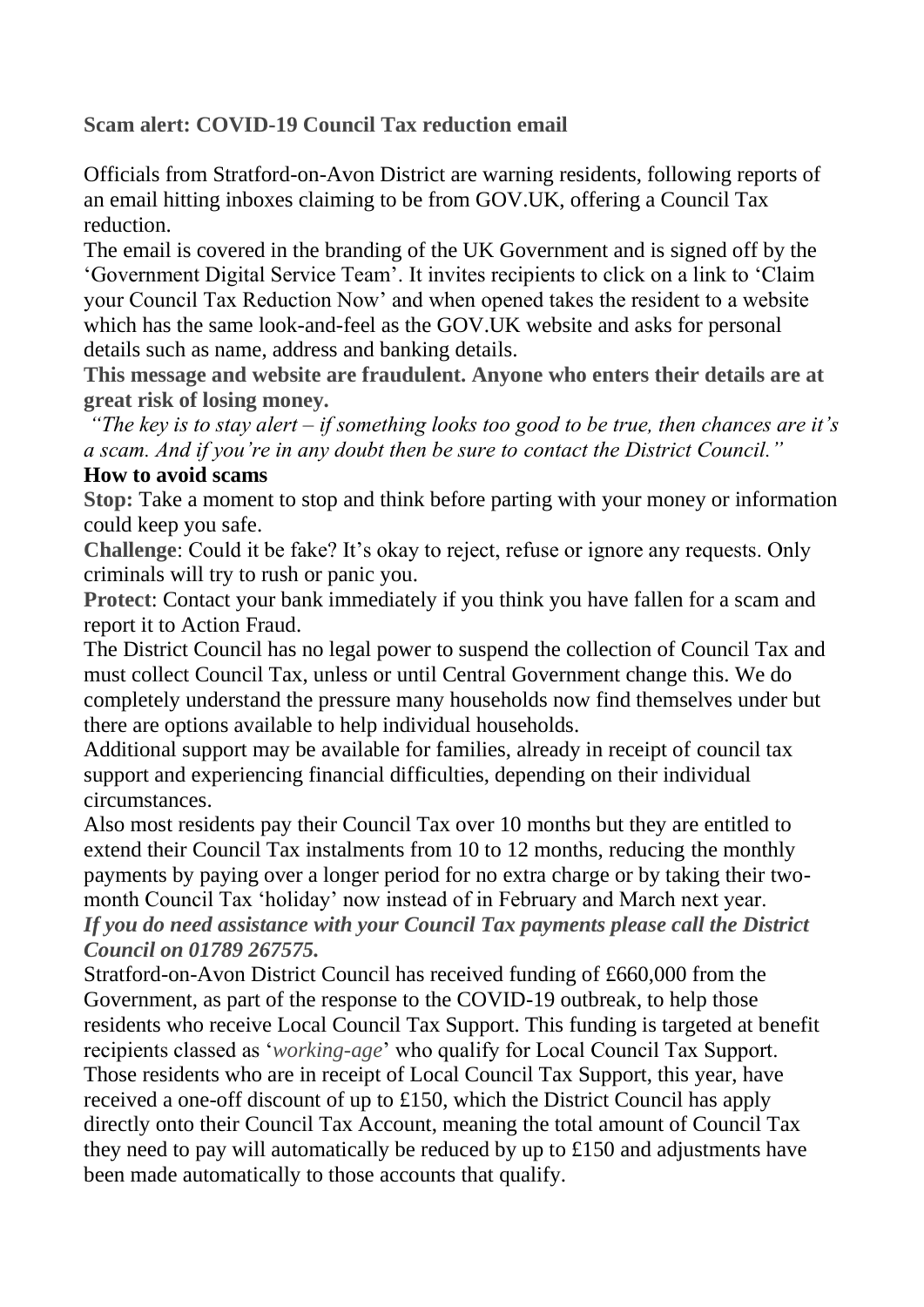**Scam alert: COVID-19 Council Tax reduction email**

Officials from Stratford-on-Avon District are warning residents, following reports of an email hitting inboxes claiming to be from GOV.UK, offering a Council Tax reduction.

The email is covered in the branding of the UK Government and is signed off by the 'Government Digital Service Team'. It invites recipients to click on a link to 'Claim your Council Tax Reduction Now' and when opened takes the resident to a website which has the same look-and-feel as the GOV.UK website and asks for personal details such as name, address and banking details.

**This message and website are fraudulent. Anyone who enters their details are at great risk of losing money.**

*"The key is to stay alert – if something looks too good to be true, then chances are it's a scam. And if you're in any doubt then be sure to contact the District Council."*

### **How to avoid scams**

**Stop:** Take a moment to stop and think before parting with your money or information could keep you safe.

**Challenge**: Could it be fake? It's okay to reject, refuse or ignore any requests. Only criminals will try to rush or panic you.

**Protect**: Contact your bank immediately if you think you have fallen for a scam and report it to Action Fraud.

The District Council has no legal power to suspend the collection of Council Tax and must collect Council Tax, unless or until Central Government change this. We do completely understand the pressure many households now find themselves under but there are options available to help individual households.

Additional support may be available for families, already in receipt of council tax support and experiencing financial difficulties, depending on their individual circumstances.

Also most residents pay their Council Tax over 10 months but they are entitled to extend their Council Tax instalments from 10 to 12 months, reducing the monthly payments by paying over a longer period for no extra charge or by taking their twomonth Council Tax 'holiday' now instead of in February and March next year. *If you do need assistance with your Council Tax payments please call the District Council on 01789 267575.* 

Stratford-on-Avon District Council has received funding of £660,000 from the Government, as part of the response to the COVID-19 outbreak, to help those residents who receive Local Council Tax Support. This funding is targeted at benefit recipients classed as '*working-age*' who qualify for Local Council Tax Support. Those residents who are in receipt of Local Council Tax Support, this year, have received a one-off discount of up to £150, which the District Council has apply directly onto their Council Tax Account, meaning the total amount of Council Tax they need to pay will automatically be reduced by up to £150 and adjustments have been made automatically to those accounts that qualify.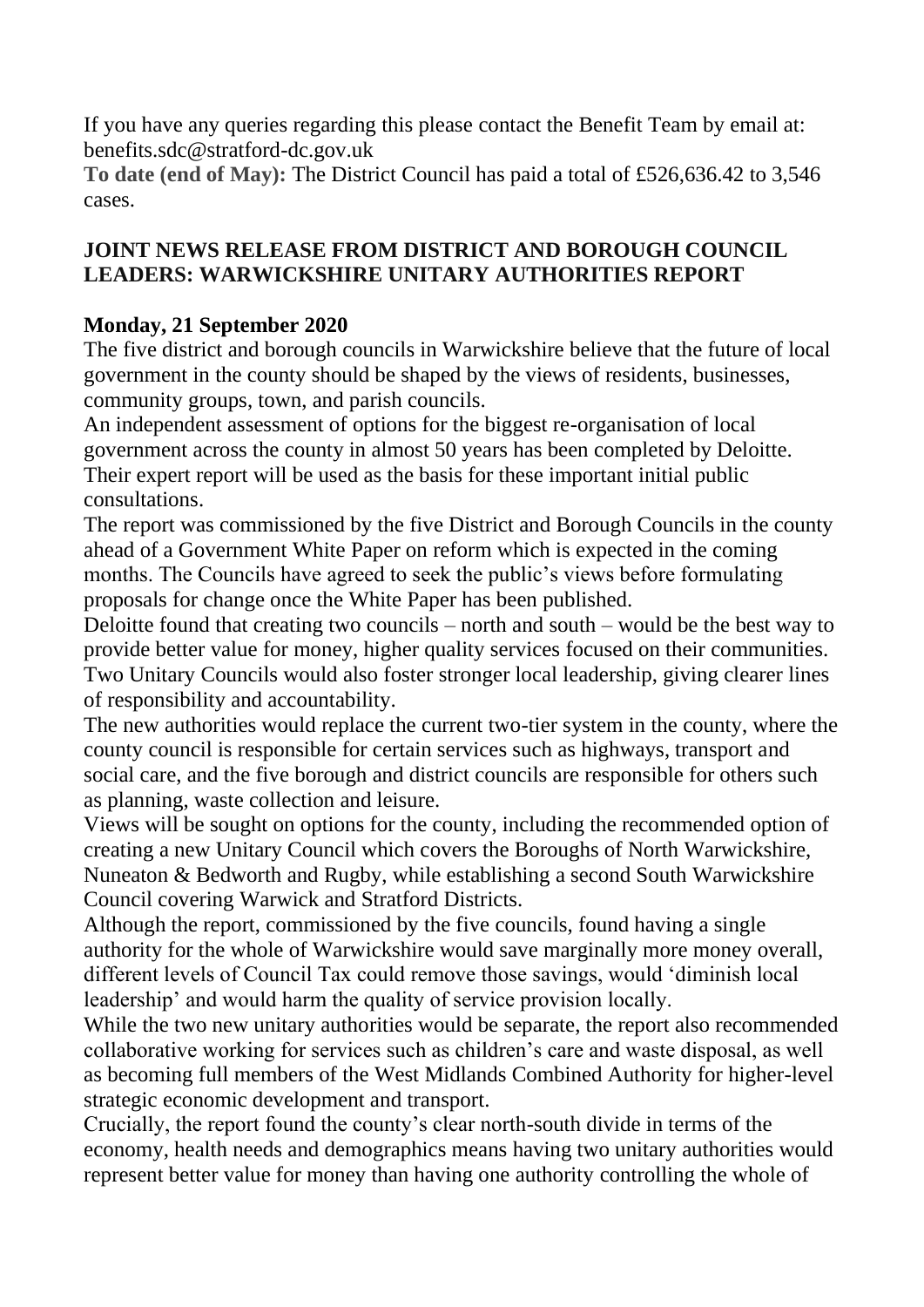If you have any queries regarding this please contact the Benefit Team by email at: benefits.sdc@stratford-dc.gov.uk

**To date (end of May):** The District Council has paid a total of £526,636.42 to 3,546 cases.

# **JOINT NEWS RELEASE FROM DISTRICT AND BOROUGH COUNCIL LEADERS: WARWICKSHIRE UNITARY AUTHORITIES REPORT**

# **Monday, 21 September 2020**

The five district and borough councils in Warwickshire believe that the future of local government in the county should be shaped by the views of residents, businesses, community groups, town, and parish councils.

An independent assessment of options for the biggest re-organisation of local government across the county in almost 50 years has been completed by Deloitte. Their expert report will be used as the basis for these important initial public consultations.

The report was commissioned by the five District and Borough Councils in the county ahead of a Government White Paper on reform which is expected in the coming months. The Councils have agreed to seek the public's views before formulating proposals for change once the White Paper has been published.

Deloitte found that creating two councils – north and south – would be the best way to provide better value for money, higher quality services focused on their communities. Two Unitary Councils would also foster stronger local leadership, giving clearer lines of responsibility and accountability.

The new authorities would replace the current two-tier system in the county, where the county council is responsible for certain services such as highways, transport and social care, and the five borough and district councils are responsible for others such as planning, waste collection and leisure.

Views will be sought on options for the county, including the recommended option of creating a new Unitary Council which covers the Boroughs of North Warwickshire, Nuneaton & Bedworth and Rugby, while establishing a second South Warwickshire Council covering Warwick and Stratford Districts.

Although the report, commissioned by the five councils, found having a single authority for the whole of Warwickshire would save marginally more money overall, different levels of Council Tax could remove those savings, would 'diminish local leadership' and would harm the quality of service provision locally.

While the two new unitary authorities would be separate, the report also recommended collaborative working for services such as children's care and waste disposal, as well as becoming full members of the West Midlands Combined Authority for higher-level strategic economic development and transport.

Crucially, the report found the county's clear north-south divide in terms of the economy, health needs and demographics means having two unitary authorities would represent better value for money than having one authority controlling the whole of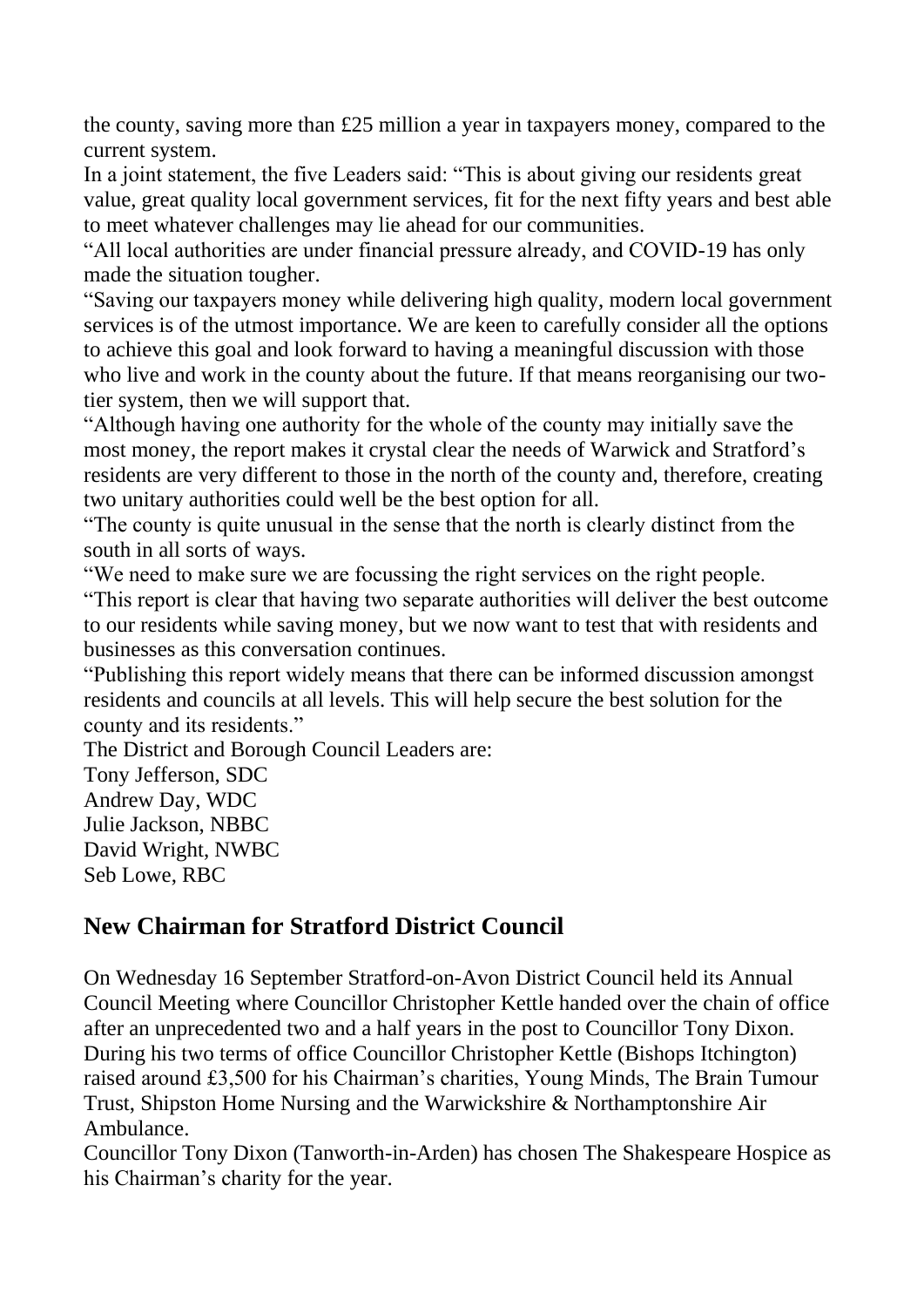the county, saving more than £25 million a year in taxpayers money, compared to the current system.

In a joint statement, the five Leaders said: "This is about giving our residents great value, great quality local government services, fit for the next fifty years and best able to meet whatever challenges may lie ahead for our communities.

"All local authorities are under financial pressure already, and COVID-19 has only made the situation tougher.

"Saving our taxpayers money while delivering high quality, modern local government services is of the utmost importance. We are keen to carefully consider all the options to achieve this goal and look forward to having a meaningful discussion with those who live and work in the county about the future. If that means reorganising our twotier system, then we will support that.

"Although having one authority for the whole of the county may initially save the most money, the report makes it crystal clear the needs of Warwick and Stratford's residents are very different to those in the north of the county and, therefore, creating two unitary authorities could well be the best option for all.

"The county is quite unusual in the sense that the north is clearly distinct from the south in all sorts of ways.

"We need to make sure we are focussing the right services on the right people.

"This report is clear that having two separate authorities will deliver the best outcome to our residents while saving money, but we now want to test that with residents and businesses as this conversation continues.

"Publishing this report widely means that there can be informed discussion amongst residents and councils at all levels. This will help secure the best solution for the county and its residents."

The District and Borough Council Leaders are:

Tony Jefferson, SDC Andrew Day, WDC Julie Jackson, NBBC David Wright, NWBC Seb Lowe, RBC

# **New Chairman for Stratford District Council**

On Wednesday 16 September Stratford-on-Avon District Council held its Annual Council Meeting where Councillor Christopher Kettle handed over the chain of office after an unprecedented two and a half years in the post to Councillor Tony Dixon. During his two terms of office Councillor Christopher Kettle (Bishops Itchington) raised around £3,500 for his Chairman's charities, Young Minds, The Brain Tumour Trust, Shipston Home Nursing and the Warwickshire & Northamptonshire Air Ambulance.

Councillor Tony Dixon (Tanworth-in-Arden) has chosen The Shakespeare Hospice as his Chairman's charity for the year.